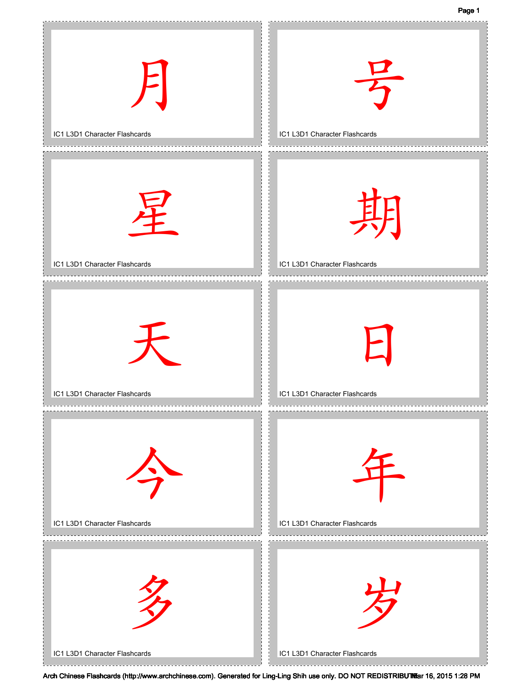Page 1

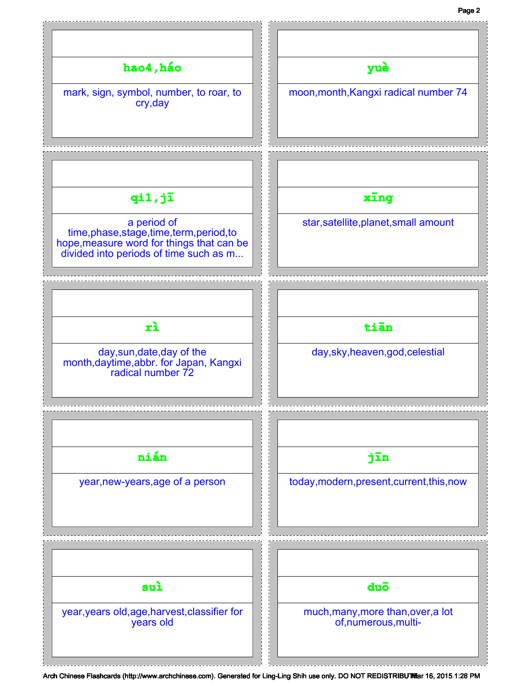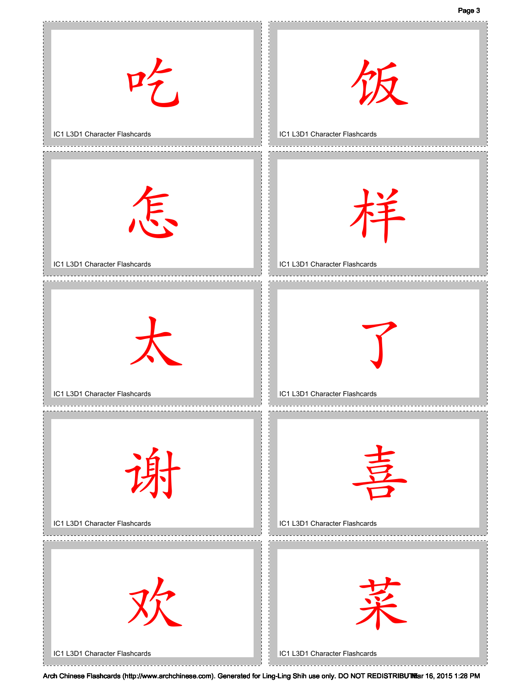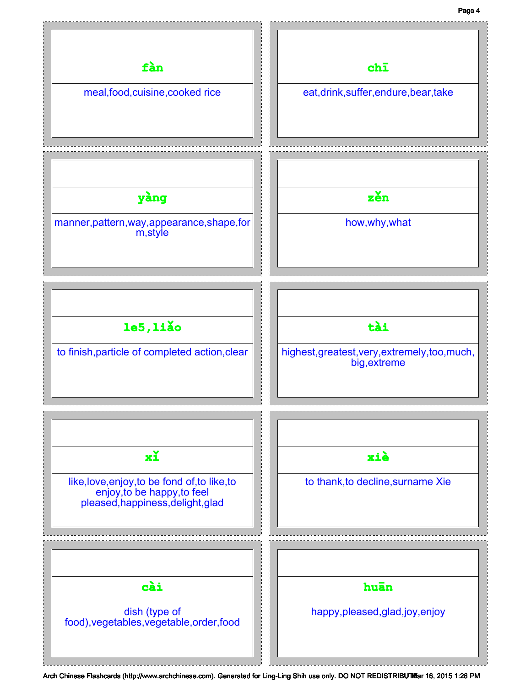## Page 4

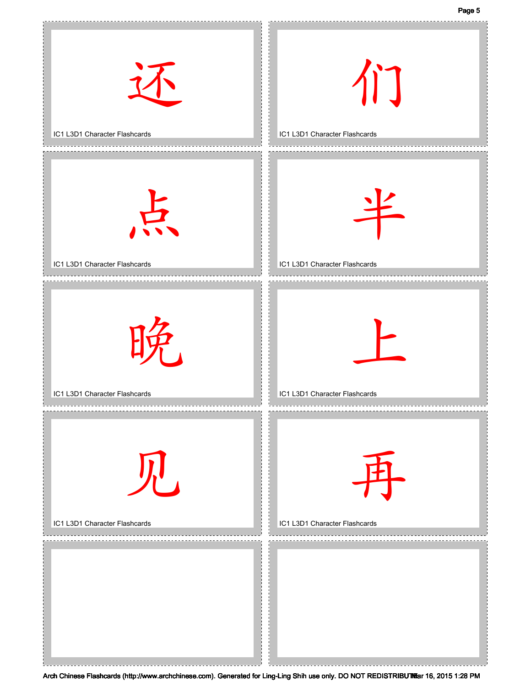